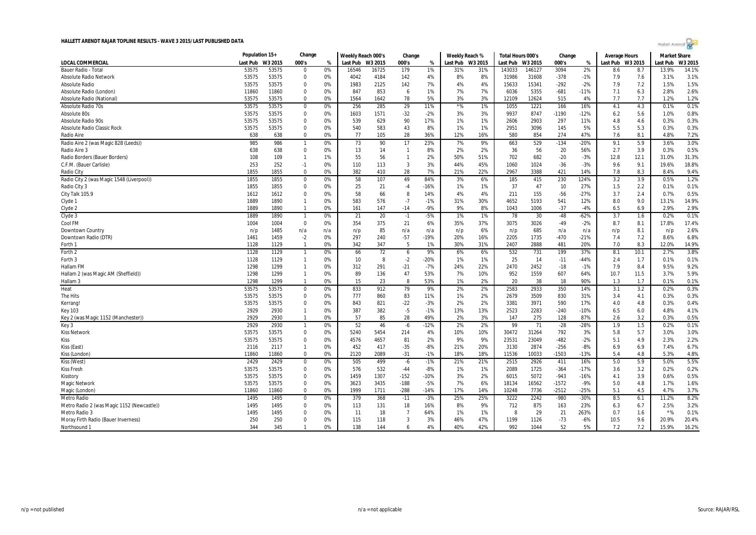|                                            | Population 15+ |         | Change         |      | Weekly Reach 000's |       | Change         |        | Weekly Reach %   |     | Total Hours 000's |         | Change  |        | Average Hours |         | <b>Market Share</b> |        |
|--------------------------------------------|----------------|---------|----------------|------|--------------------|-------|----------------|--------|------------------|-----|-------------------|---------|---------|--------|---------------|---------|---------------------|--------|
| LOCAL COMMERCIAL                           | Last Pub       | W3 2015 | 000's          | $\%$ | Last Pub W3 2015   |       | 000's          | $\%$   | Last Pub W3 2015 |     | Last Pub          | W3 2015 | 000's   | %      | Last Pub      | W3 2015 | Last Pub            | W3 201 |
| Bauer Radio - Tota                         | 53575          | 53575   | $\Omega$       | 0%   | 16546              | 16725 | 179            | 1%     | 31%              | 31% | 143033            | 146127  | 3094    | 2%     | 8.6           | 8.7     | 13.9%               | 14.1%  |
| <b>Absolute Radio Network</b>              | 53575          | 53575   | $\mathbf 0$    | 0%   | 4042               | 4184  | 142            | 4%     | 8%               | 8%  | 31986             | 31608   | $-378$  | $-1%$  | 7.9           | 7.6     | 3.1%                | 3.1%   |
| <b>Absolute Radio</b>                      | 53575          | 53575   | $\mathbf 0$    | 0%   | 1983               | 2125  | 142            | 7%     | 4%               | 4%  | 15633             | 15341   | $-292$  | $-2%$  | 7.9           | 7.2     | 1.5%                | 1.5%   |
| Absolute Radio (London)                    | 11860          | 11860   | $\Omega$       | 0%   | 847                | 853   | 6              | 1%     | 7%               | 7%  | 6036              | 5355    | $-681$  | $-11%$ | 7.1           | 6.3     | 2.8%                | 2.6%   |
| Absolute Radio (National)                  | 53575          | 53575   | $\mathbf 0$    | 0%   | 1564               | 1642  | 78             | 5%     | 3%               | 3%  | 12109             | 12624   | 515     | 4%     | 7.7           | 7.7     | 1.2%                | 1.2%   |
| Absolute Radio 70s                         | 53575          | 53575   | $\mathbf 0$    | 0%   | 256                | 285   | 29             | 11%    | $*$ %            | 1%  | 1055              | 1221    | 166     | 16%    | 4.1           | 4.3     | 0.1%                | 0.1%   |
| Absolute 80s                               | 53575          | 53575   | $\mathbf 0$    | 0%   | 1603               | 1571  | $-32$          | $-2%$  | 3%               | 3%  | 9937              | 8747    | $-1190$ | $-12%$ | 6.2           | 5.6     | 1.0%                | 0.8%   |
| Absolute Radio 90s                         | 53575          | 53575   | $\Omega$       | 0%   | 539                | 629   | 90             | 17%    | 1%               | 1%  | 2606              | 2903    | 297     | 11%    | 4.8           | 4.6     | 0.3%                | 0.3%   |
| <b>Absolute Radio Classic Rock</b>         | 53575          | 53575   | $\mathbf{0}$   | 0%   | 540                | 583   | 43             | 8%     | 1%               | 1%  | 2951              | 3096    | 145     | 5%     | 5.5           | 5.3     | 0.3%                | 0.3%   |
| Radio Aire                                 | 638            | 638     | $\mathbf 0$    | 0%   | 77                 | 105   | 28             | 36%    | 12%              | 16% | 580               | 854     | 274     | 47%    | 7.6           | 8.1     | 4.8%                | 7.2%   |
| Radio Aire 2 (was Magic 828 (Leeds))       | 985            | 986     | $\overline{1}$ | 0%   | 73                 | 90    | 17             | 23%    | 7%               | 9%  | 663               | 529     | $-134$  | -20%   | 9.1           | 5.9     | 3.6%                | 3.0%   |
| Radio Aire 3                               | 638            | 638     | $\mathbf 0$    | 0%   | 13                 | 14    | $\overline{1}$ | 8%     | 2%               | 2%  | 36                | 56      | 20      | 56%    | 2.7           | 3.9     | 0.3%                | 0.5%   |
| Radio Borders (Bauer Borders)              | 108            | 109     | $\overline{1}$ | 1%   | 55                 | 56    | $\overline{1}$ | 2%     | 50%              | 51% | 702               | 682     | $-20$   | $-3%$  | 12.8          | 12.1    | 31.0%               | 31.3%  |
| C.F.M. (Bauer Carlisle)                    | 253            | 252     | $-1$           | 0%   | 110                | 113   | 3              | 3%     | 44%              | 45% | 1060              | 1024    | $-36$   | $-3%$  | 9.6           | 9.1     | 19.6%               | 18.8%  |
| Radio City                                 | 1855           | 1855    | $\Omega$       | 0%   | 382                | 410   | 28             | 7%     | 21%              | 22% | 2967              | 3388    | 421     | 14%    | 7.8           | 8.3     | 8.4%                | 9.4%   |
| Radio City 2 (was Magic 1548 (Liverpool))  | 1855           | 1855    | $\mathbf 0$    | 0%   | 58                 | 107   | 49             | 84%    | 3%               | 6%  | 185               | 415     | 230     | 124%   | 3.2           | 3.9     | 0.5%                | 1.2%   |
| Radio City 3                               | 1855           | 1855    | $\mathbf{0}$   | 0%   | 25                 | 21    | $-4$           | $-16%$ | 1%               | 1%  | 37                | 47      | 10      | 27%    | 1.5           | 2.2     | 0.1%                | 0.1%   |
| City Talk 105.9                            | 1612           | 1612    | $\Omega$       | 0%   | 58                 | 66    | 8              | 14%    | 4%               | 4%  | 211               | 155     | $-56$   | $-27%$ | 3.7           | 2.4     | 0.7%                | 0.5%   |
| Clyde 1                                    | 1889           | 1890    | $\overline{1}$ | 0%   | 583                | 576   | $-7$           | $-1%$  | 31%              | 30% | 4652              | 5193    | 541     | 12%    | 8.0           | 9.0     | 13.1%               | 14.9%  |
| Clyde 2                                    | 1889           | 1890    | $\overline{1}$ | 0%   | 161                | 147   | $-14$          | $-9%$  | 9%               | 8%  | 1043              | 1006    | $-37$   | $-4%$  | 6.5           | 6.9     | 2.9%                | 2.9%   |
| Clyde 3                                    | 1889           | 1890    | $\overline{1}$ | 0%   | 21                 | 20    | $-1$           | $-5%$  | 1%               | 1%  | 78                | 30      | $-48$   | $-62%$ | 3.7           | 1.6     | 0.2%                | 0.1%   |
| Cool FM                                    | 1004           | 1004    | $\overline{0}$ | 0%   | 354                | 375   | 21             | 6%     | 35%              | 37% | 3075              | 3026    | $-49$   | $-2%$  | 8.7           | 8.1     | 17.8%               | 17.4%  |
| Downtown Country                           | n/p            | 1485    | n/a            | n/a  | n/p                | 85    | n/a            | n/a    | n/p              | 6%  | n/p               | 685     | n/a     | n/a    | n/p           | 8.1     | n/p                 | 2.6%   |
| Downtown Radio (DTR)                       | 1461           | 1459    | $-2$           | 0%   | 297                | 240   | $-57$          | $-19%$ | 20%              | 16% | 2205              | 1735    | $-470$  | $-21%$ | 7.4           | 7.2     | 8.6%                | 6.8%   |
| Forth 1                                    | 1128           | 1129    | $\overline{1}$ | 0%   | 342                | 347   | 5              | 1%     | 30%              | 31% | 2407              | 2888    | 481     | 20%    | 7.0           | 8.3     | 12.0%               | 14.9%  |
| Forth 2                                    | 1128           | 1129    | $\overline{1}$ | 0%   | 66                 | 72    | 6              | 9%     | 6%               | 6%  | 532               | 731     | 199     | 37%    | 8.1           | 10.1    | 2.7%                | 3.8%   |
| Forth 3                                    | 1128           | 1129    | $\overline{1}$ | 0%   | 10                 | -8    | $-2$           | -20%   | 1%               | 1%  | 25                | 14      | $-11$   | -44%   | 2.4           | 1.7     | 0.1%                | 0.1%   |
| Hallam FM                                  | 1298           | 1299    | $\overline{1}$ | 0%   | 312                | 291   | $-21$          | $-7%$  | 24%              | 22% | 2470              | 2452    | $-18$   | $-1%$  | 7.9           | 8.4     | 9.5%                | 9.2%   |
| Hallam 2 (was Magic AM (Sheffield))        | 1298           | 1299    | $\overline{1}$ | 0%   | 89                 | 136   | 47             | 53%    | 7%               | 10% | 952               | 1559    | 607     | 64%    | 10.7          | 11.5    | 3.7%                | 5.9%   |
| Hallam 3                                   | 1298           | 1299    | $\overline{1}$ | 0%   | 15                 | 23    | 8              | 53%    | 1%               | 2%  | 20                | 38      | 18      | 90%    | 1.3           | 1.7     | 0.1%                | 0.1%   |
| Heat                                       | 53575          | 53575   | $\mathbf 0$    | 0%   | 833                | 912   | 79             | 9%     | 2%               | 2%  | 2583              | 2933    | 350     | 14%    | 3.1           | 3.2     | 0.2%                | 0.3%   |
| The Hits                                   | 53575          | 53575   | $\Omega$       | 0%   | 777                | 860   | 83             | 11%    | 1%               | 2%  | 2679              | 3509    | 830     | 31%    | 3.4           | 4.1     | 0.3%                | 0.3%   |
| Kerrang!                                   | 53575          | 53575   | $\Omega$       | 0%   | 843                | 821   | $-22$          | $-3%$  | 2%               | 2%  | 3381              | 3971    | 590     | 17%    | 4.0           | 4.8     | 0.3%                | 0.4%   |
| <b>Key 103</b>                             | 2929           | 2930    | $\overline{1}$ | 0%   | 387                | 382   | $-5$           | $-1%$  | 13%              | 13% | 2523              | 2283    | $-240$  | $-10%$ | 6.5           | 6.0     | 4.8%                | 4.1%   |
| Key 2 (was Magic 1152 (Manchester))        | 2929           | 2930    | $\mathbf{1}$   | 0%   | 57                 | 85    | 28             | 49%    | 2%               | 3%  | 147               | 275     | 128     | 87%    | 2.6           | 3.2     | 0.3%                | 0.5%   |
| Key 3                                      | 2929           | 2930    | $\overline{1}$ | 0%   | 52                 | 46    | $-6$           | $-12%$ | 2%               | 2%  | 99                | 71      | $-28$   | $-28%$ | 1.9           | 1.5     | 0.2%                | 0.1%   |
| <b>Kiss Network</b>                        | 53575          | 53575   | $\mathbf 0$    | 0%   | 5240               | 5454  | 214            | 4%     | 10%              | 10% | 30472             | 31264   | 792     | 3%     | 5.8           | 5.7     | 3.0%                | 3.0%   |
| Kiss                                       | 53575          | 53575   | $\Omega$       | 0%   | 4576               | 4657  | 81             | 2%     | 9%               | 9%  | 23531             | 23049   | $-482$  | $-2%$  | 5.1           | 4.9     | 2.3%                | 2.2%   |
| Kiss (East)                                | 2116           | 2117    | $\overline{1}$ | 0%   | 452                | 417   | $-35$          | $-8%$  | 21%              | 20% | 3130              | 2874    | $-256$  | $-8%$  | 6.9           | 6.9     | 7.4%                | 6.7%   |
| Kiss (London)                              | 11860          | 11860   | $\Omega$       | 0%   | 2120               | 2089  | $-31$          | $-1%$  | 18%              | 18% | 11536             | 10033   | $-1503$ | $-13%$ | 5.4           | 4.8     | 5.3%                | 4.8%   |
| Kiss (West)                                | 2429           | 2429    | $\mathbf 0$    | 0%   | 505                | 499   | $-6$           | $-1%$  | 21%              | 21% | 2515              | 2926    | 411     | 16%    | 5.0           | 5.9     | 5.0%                | 5.5%   |
| <b>Kiss Fresh</b>                          | 53575          | 53575   | $\mathbf 0$    | 0%   | 576                | 532   | $-44$          | $-8%$  | 1%               | 1%  | 2089              | 1725    | $-364$  | $-17%$ | 3.6           | 3.2     | 0.2%                | 0.2%   |
| Kisstory                                   | 53575          | 53575   | $\mathbf 0$    | 0%   | 1459               | 1307  | $-152$         | $-10%$ | 3%               | 2%  | 6015              | 5072    | $-943$  | $-16%$ | 4.1           | 3.9     | 0.6%                | 0.5%   |
| <b>Magic Network</b>                       | 53575          | 53575   | $\mathbf 0$    | 0%   | 3623               | 3435  | $-188$         | $-5%$  | 7%               | 6%  | 18134             | 16562   | $-1572$ | $-9%$  | 5.0           | 4.8     | 1.7%                | 1.6%   |
| Magic (London)                             | 11860          | 11860   | $\Omega$       | 0%   | 1999               | 1711  | $-288$         | $-14%$ | 17%              | 14% | 10248             | 7736    | $-2512$ | $-25%$ | 5.1           | 4.5     | 4.7%                | 3.7%   |
| Metro Radio                                | 1495           | 1495    | $\mathbf 0$    | 0%   | 379                | 368   | $-11$          | $-3%$  | 25%              | 25% | 3222              | 2242    | $-980$  | $-30%$ | 8.5           | 6.1     | 11.2%               | 8.2%   |
| Metro Radio 2 (was Magic 1152 (Newcastle)) | 1495           | 1495    | $\mathbf 0$    | 0%   | 113                | 131   | 18             | 16%    | 8%               | 9%  | 712               | 875     | 163     | 23%    | 6.3           | 6.7     | 2.5%                | 3.2%   |
| Metro Radio 3                              | 1495           | 1495    | $\Omega$       | 0%   | 11                 | 18    | $\overline{7}$ | 64%    | 1%               | 1%  | ε                 | 29      | 21      | 263%   | 0.7           | 1.6     | $*$ %               | 0.1%   |
| Moray Firth Radio (Bauer Inverness)        | 250            | 250     | $\Omega$       | 0%   | 115                | 118   | 3              | 3%     | 46%              | 47% | 1199              | 1126    | $-73$   | $-6%$  | 10.5          | 9.6     | 20.9%               | 20.4%  |
| Northsound 1                               | 344            | 345     | $\mathbf{1}$   | 0%   | 138                | 144   | 6              | 4%     | 40%              | 42% | 992               | 1044    | 52      | 5%     | 7.2           | 7.2     | 15.9%               | 16.2%  |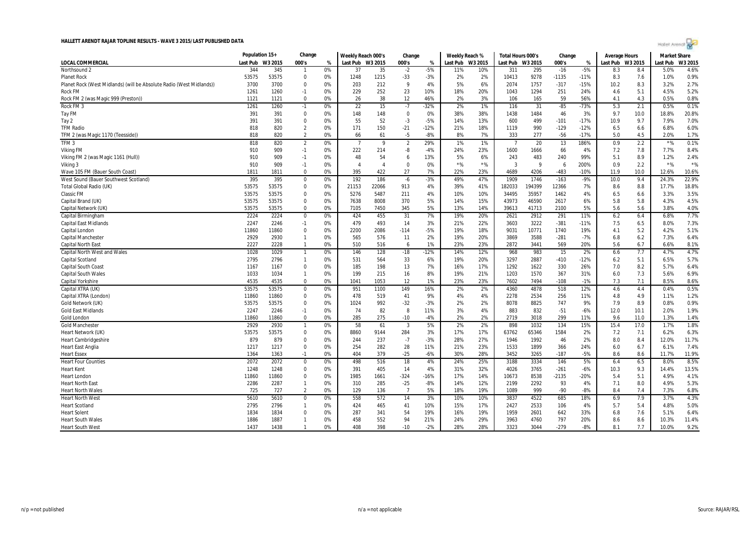|                                                                      | Population 15+ |         | Change         |       | Weekly Reach 000's |                        | Change         |        | Weekly Reach % |         | Total Hours 000's |              | Change  |        | <b>Average Hours</b> |         | <b>Market Share</b> |         |
|----------------------------------------------------------------------|----------------|---------|----------------|-------|--------------------|------------------------|----------------|--------|----------------|---------|-------------------|--------------|---------|--------|----------------------|---------|---------------------|---------|
| LOCAL COMMERCIAL                                                     | Last Pub       | W3 2015 | 000's          | %     | Last Pub W3 2015   |                        | 000's          | $\%$   | Last Pub       | W3 2015 | Last Pub          | W3 2015      | 000's   | %      | Last Pub             | W3 2015 | Last Pub            | W3 2015 |
| Northsound 2                                                         | 344            | 345     |                | 0%    | 37                 | 35                     | $-2$           | $-5%$  | 11%            | 10%     | 311               | 295          | $-16$   | $-5%$  | 8.3                  | 8.4     | 5.0%                | 4.6%    |
| <b>Planet Rock</b>                                                   | 53575          | 53575   | $\Omega$       | 0%    | 1248               | 1215                   | $-33$          | $-3%$  | 2%             | 2%      | 10413             | 9278         | $-1135$ | $-11%$ | 8.3                  | 7.6     | 1.0%                | 0.9%    |
| Planet Rock (West Midlands) (will be Absolute Radio (West Midlands)) | 3700           | 3700    | $\mathbf 0$    | 0%    | 203                | 212                    | 9              | 4%     | 5%             | 6%      | 2074              | 1757         | $-317$  | $-15%$ | 10.2                 | 8.3     | 3.2%                | 2.7%    |
| <b>Rock FM</b>                                                       | 1261           | 1260    | $-1$           | 0%    | 229                | 252                    | 23             | 10%    | 18%            | 20%     | 1043              | 1294         | 251     | 24%    | 4.6                  | 5.1     | 4.5%                | 5.2%    |
| Rock FM 2 (was Magic 999 (Preston))                                  | 1121           | 1121    | $\Omega$       | 0%    | 26                 | 38                     | 12             | 46%    | 2%             | 3%      | 106               | 165          | 59      | 56%    | 4.1                  | 4.3     | 0.5%                | 0.8%    |
| Rock FM 3                                                            | 1261           | 1260    | $-1$           | $0\%$ | 22                 | 15                     | $-7$           | -32%   | 2%             | 1%      | 116               | 31           | $-85$   | -73%   | 5.3                  | 2.1     | 0.5%                | 0.1%    |
| Tay FM                                                               | 391            | 391     | $\mathbf 0$    | 0%    | 148                | 148                    | $\mathbf{0}$   | 0%     | 38%            | 38%     | 1438              | 1484         | 46      | 3%     | 9.7                  | 10.0    | 18.8%               | 20.8%   |
| Tay 2                                                                | 391            | 391     | $\Omega$       | 0%    | 55                 | 52                     | $-3$           | $-5%$  | 14%            | 13%     | 600               | 499          | $-101$  | $-17%$ | 10.9                 | 9.7     | 7.9%                | 7.0%    |
| <b>TFM Radio</b>                                                     | 818            | 820     | $\overline{2}$ | 0%    | 171                | 150                    | $-21$          | $-12%$ | 21%            | 18%     | 1119              | 990          | $-129$  | $-12%$ | 6.5                  | 6.6     | 6.8%                | 6.0%    |
| TFM 2 (was Magic 1170 (Teesside))                                    | 818            | 820     | $\overline{2}$ | 0%    | 66                 | 61                     | $-5$           | $-8%$  | 8%             | 7%      | 333               | 277          | $-56$   | $-17%$ | 5.0                  | 4.5     | 2.0%                | 1.7%    |
| TFM <sub>3</sub>                                                     | 818            | 820     | $\overline{2}$ | 0%    | 7                  | $\mathbf{q}$           | $\overline{2}$ | 29%    | 1%             | 1%      | -7                | 20           | 13      | 186%   | 0.9                  | 2.2     | $*$ %               | 0.1%    |
| <b>Viking FM</b>                                                     | 910            | 909     | $-1$           | 0%    | 222                | 214                    | -8             | -4%    | 24%            | 23%     | 1600              | 1666         | 66      | 4%     | 7.2                  | 7.8     | 7.7%                | 8.4%    |
| Viking FM 2 (was Magic 1161 (Hull))                                  | 910            | 909     | $-1$           | 0%    | 48                 | 54                     | 6              | 13%    | 5%             | 6%      | 243               | 483          | 240     | 99%    | 5.1                  | 8.9     | 1.2%                | 2.4%    |
| Viking 3                                                             | 910            | 909     | $-1$           | 0%    | $\overline{A}$     | $\boldsymbol{\Lambda}$ | $\Omega$       | 0%     | $*$ %          | $*$ %   | $\mathbf{3}$      | $\mathbf{Q}$ | 6       | 200%   | 0.9                  | 2.2     | $*$ %               | $*$ %   |
| Wave 105 FM (Bauer South Coast)                                      | 1811           | 1811    | $\Omega$       | 0%    | 395                | 422                    | 27             | 7%     | 22%            | 23%     | 4689              | 4206         | $-483$  | $-10%$ | 11.9                 | 10.0    | 12.6%               | 10.6%   |
| West Sound (Bauer Southwest Scotland)                                | 395            | 395     | $\mathbf 0$    | 0%    | 192                | 186                    | $-6$           | $-3%$  | 49%            | 47%     | 1909              | 1746         | $-163$  | $-9%$  | 10.0                 | 9.4     | 24.3%               | 22.9%   |
| Total Global Radio (UK)                                              | 53575          | 53575   | $\Omega$       | 0%    | 21153              | 22066                  | 913            | 4%     | 39%            | 41%     | 182033            | 194399       | 12366   | 7%     | 8.6                  | 8.8     | 17.7%               | 18.8%   |
| <b>Classic FM</b>                                                    | 53575          | 53575   | $\mathbf 0$    | 0%    | 5276               | 5487                   | 211            | 4%     | 10%            | 10%     | 34495             | 35957        | 1462    | 4%     | 6.5                  | 6.6     | 3.3%                | 3.5%    |
| Capital Brand (UK)                                                   | 53575          | 53575   | $\mathbf 0$    | 0%    | 7638               | 8008                   | 370            | 5%     | 14%            | 15%     | 43973             | 46590        | 2617    | 6%     | 5.8                  | 5.8     | 4.3%                | 4.5%    |
| Capital Network (UK)                                                 | 53575          | 53575   | $\Omega$       | 0%    | 7105               | 7450                   | 345            | 5%     | 13%            | 14%     | 39613             | 41713        | 2100    | 5%     | 5.6                  | 5.6     | 3.8%                | 4.0%    |
| Capital Birmingham                                                   | 2224           | 2224    | $\mathbf 0$    | 0%    | 424                | 455                    | 31             | 7%     | 19%            | 20%     | 2621              | 2912         | 291     | 11%    | 6.2                  | 6.4     | 6.8%                | 7.7%    |
| <b>Capital East Midlands</b>                                         | 2247           | 2246    | $-1$           | 0%    | 479                | 493                    | 14             | 3%     | 21%            | 22%     | 3603              | 3222         | $-381$  | $-11%$ | 7.5                  | 6.5     | 8.0%                | 7.3%    |
| Capital London                                                       | 11860          | 11860   | $\Omega$       | 0%    | 2200               | 2086                   | $-114$         | $-5%$  | 19%            | 18%     | 9031              | 10771        | 1740    | 19%    | 4.1                  | 5.2     | 4.2%                | 5.1%    |
| Capital Manchester                                                   | 2929           | 2930    | -1             | 0%    | 565                | 576                    | 11             | 2%     | 19%            | 20%     | 3869              | 3588         | $-281$  | $-7%$  | 6.8                  | 6.2     | 7.3%                | 6.4%    |
| <b>Capital North East</b>                                            | 2227           | 2228    | $\overline{1}$ | 0%    | 510                | 516                    | 6              | 1%     | 23%            | 23%     | 2872              | 3441         | 569     | 20%    | 5.6                  | 6.7     | 6.6%                | 8.1%    |
| Capital North West and Wales                                         | 1028           | 1029    | $\mathbf{1}$   | 0%    | 146                | 128                    | $-18$          | $-12%$ | 14%            | 12%     | 968               | 983          | 15      | 2%     | 6.6                  | 7.7     | 4.7%                | 4.7%    |
| Capital Scotland                                                     | 2795           | 2796    | $\overline{1}$ | 0%    | 531                | 564                    | 33             | 6%     | 19%            | 20%     | 3297              | 2887         | $-410$  | $-12%$ | 6.2                  | 5.1     | 6.5%                | 5.7%    |
| Capital South Coas                                                   | 1167           | 1167    | $\mathbf 0$    | 0%    | 185                | 198                    | 13             | 7%     | 16%            | 17%     | 1292              | 1622         | 330     | 26%    | 7.0                  | 8.2     | 5.7%                | 6.4%    |
| <b>Capital South Wales</b>                                           | 1033           | 1034    | $\overline{1}$ | 0%    | 199                | 215                    | 16             | 8%     | 19%            | 21%     | 1203              | 1570         | 367     | 31%    | 6.0                  | 7.3     | 5.6%                | 6.9%    |
| Capital Yorkshire                                                    | 4535           | 4535    | $\Omega$       | 0%    | 1041               | 1053                   | 12             | $1\%$  | 23%            | 23%     | 7602              | 7494         | $-108$  | $-1%$  | 7.3                  | 7.1     | 8.5%                | 8.6%    |
| Capital XTRA (UK)                                                    | 53575          | 53575   | 0              | 0%    | 951                | 1100                   | 149            | 16%    | 2%             | 2%      | 4360              | 4878         | 518     | 12%    | 4.6                  | 4.4     | 0.4%                | 0.5%    |
| Capital XTRA (London)                                                | 11860          | 11860   | $\mathbf 0$    | 0%    | 478                | 519                    | 41             | 9%     | 4%             | 4%      | 2278              | 2534         | 256     | 11%    | 4.8                  | 4.9     | 1.1%                | 1.2%    |
| Gold Network (UK)                                                    | 53575          | 53575   | $\Omega$       | 0%    | 1024               | 992                    | $-32$          | $-3%$  | 2%             | 2%      | 8078              | 8825         | 747     | 9%     | 7.9                  | 8.9     | 0.8%                | 0.9%    |
| <b>Gold East Midlands</b>                                            | 2247           | 2246    | $-1$           | 0%    | -74                | 82                     | 8              | 11%    | 3%             | 4%      | 883               | 832          | $-51$   | $-6%$  | 12.0                 | 10.1    | 2.0%                | 1.9%    |
| Gold London                                                          | 11860          | 11860   | $\mathbf 0$    | 0%    | 285                | 275                    | $-10$          | $-4%$  | 2%             | 2%      | 2719              | 3018         | 299     | 11%    | 9.6                  | 11.0    | 1.3%                | 1.4%    |
| <b>Gold Manchester</b>                                               | 2929           | 2930    | -1             | 0%    | 58                 | 61                     | $\overline{3}$ | 5%     | 2%             | 2%      | 898               | 1032         | 134     | 15%    | 15.4                 | 17.0    | 1.7%                | 1.8%    |
| Heart Network (UK)                                                   | 53575          | 53575   | $\mathbf 0$    | 0%    | 8860               | 9144                   | 284            | 3%     | 17%            | 17%     | 63762             | 65346        | 1584    | 2%     | 7.2                  | 7.1     | 6.2%                | 6.3%    |
| <b>Heart Cambridgeshire</b>                                          | 879            | 879     | $\mathbf 0$    | 0%    | 244                | 237                    | $-7$           | $-3%$  | 28%            | 27%     | 1946              | 1992         | 46      | 2%     | 8.0                  | 8.4     | 12.0%               | 11.7%   |
| <b>Heart East Anglia</b>                                             | 1217           | 1217    | $\Omega$       | 0%    | 254                | 282                    | 28             | 11%    | 21%            | 23%     | 1533              | 1899         | 366     | 24%    | 6.0                  | 6.7     | 6.1%                | 7.4%    |
| <b>Heart Essex</b>                                                   | 1364           | 1363    | $-1$           | 0%    | 404                | 379                    | $-25$          | $-6%$  | 30%            | 28%     | 3452              | 3265         | $-187$  | $-5%$  | 8.6                  | 8.6     | 11.7%               | 11.9%   |
| <b>Heart Four Counties</b>                                           | 2072           | 2072    | $\overline{0}$ | 0%    | 498                | 516                    | 18             | 4%     | 24%            | 25%     | 3188              | 3334         | 146     | 5%     | 6.4                  | 6.5     | 8.0%                | 8.5%    |
| <b>Heart Kent</b>                                                    | 1248           | 1248    | $\mathbf 0$    | 0%    | 391                | 405                    | 14             | 4%     | 31%            | 32%     | 4026              | 3765         | $-261$  | $-6%$  | 10.3                 | 9.3     | 14.4%               | 13.5%   |
| <b>Heart London</b>                                                  | 11860          | 11860   | $\mathbf 0$    | 0%    | 1985               | 1661                   | -324           | -16%   | 17%            | 14%     | 10673             | 8538         | $-2135$ | -20%   | 5.4                  | 5.1     | 4.9%                | 4.1%    |
| <b>Heart North East</b>                                              | 2286           | 2287    | $\overline{1}$ | 0%    | 310                | 285                    | $-25$          | -8%    | 14%            | 12%     | 2199              | 2292         | 93      | 4%     | 7.1                  | 8.0     | 4.9%                | 5.3%    |
| <b>Heart North Wales</b>                                             | 725            | 727     | $\overline{2}$ | 0%    | 129                | 136                    | $\overline{7}$ | 5%     | 18%            | 19%     | 1089              | 999          | $-90$   | $-8%$  | 8.4                  | 7.4     | 7.3%                | 6.8%    |
| <b>Heart North West</b>                                              | 5610           | 5610    | 0              | 0%    | 558                | 572                    | 14             | 3%     | 10%            | 10%     | 3837              | 4522         | 685     | 18%    | 6.9                  | 7.9     | 3.7%                | 4.3%    |
| <b>Heart Scotland</b>                                                | 2795           | 2796    | -1             | 0%    | 424                | 465                    | 41             | 10%    | 15%            | 17%     | 2427              | 2533         | 106     | 4%     | 5.7                  | 5.4     | 4.8%                | 5.0%    |
| <b>Heart Solent</b>                                                  | 1834           | 1834    | $\Omega$       | 0%    | 287                | 341                    | 54             | 19%    | 16%            | 19%     | 1959              | 2601         | 642     | 33%    | 6.8                  | 7.6     | 5.1%                | 6.4%    |
| <b>Heart South Wales</b>                                             | 1886           | 1887    | -1             | 0%    | 458                | 552                    | 94             | 21%    | 24%            | 29%     | 3963              | 4760         | 797     | 20%    | 8.6                  | 8.6     | 10.3%               | 11.4%   |
| <b>Heart South West</b>                                              | 1437           | 1438    | $\mathbf{1}$   | 0%    | 408                | 398                    | $-10$          | $-2%$  | 28%            | 28%     | 3323              | 3044         | $-279$  | $-8%$  | 8.1                  | 7.7     | 10.0%               | 9.2%    |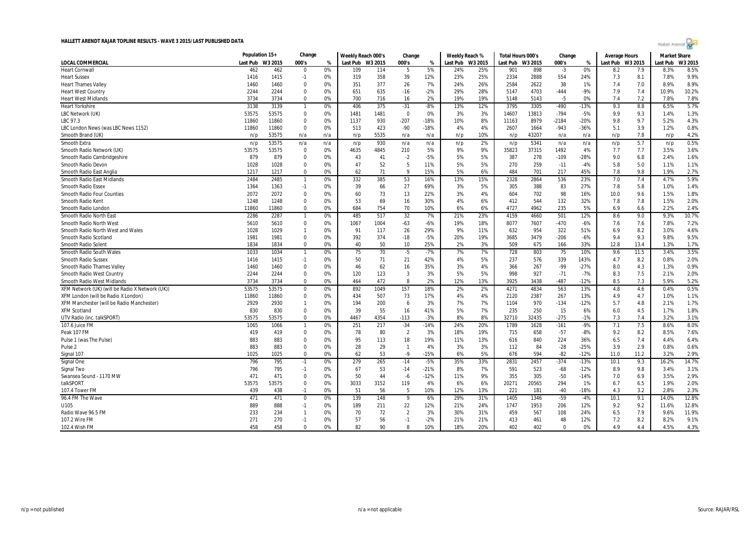

|                                                 | Population 15+ |         | Change         |     | Weekly Reach 000's |         | Change         |        | Weekly Reach % |         | Total Hours 000's |         | Change   |        | Average Hours |         | <b>Market Share</b> |        |
|-------------------------------------------------|----------------|---------|----------------|-----|--------------------|---------|----------------|--------|----------------|---------|-------------------|---------|----------|--------|---------------|---------|---------------------|--------|
| LOCAL COMMERCIAL                                | Last Pub       | W3 2015 | 000's          | %   | Last Pub           | W3 2015 | 000's          | %      | Last Pub       | W3 2015 | Last Pub          | W3 2015 | 000's    | %      | Last Pub      | W3 2015 | Last Pub            | W3 201 |
| <b>Heart Cornwall</b>                           | 462            | 462     | $\mathbf{0}$   | 0%  | 109                | 114     | -5             | 5%     | 24%            | 25%     | 901               | 898     | $-3$     | 0%     | 8.2           | 7.9     | 8.3%                | 8.5%   |
| <b>Heart Sussex</b>                             | 1416           | 1415    | $-1$           | 0%  | 319                | 358     | 39             | 12%    | 23%            | 25%     | 2334              | 2888    | 554      | 24%    | 7.3           | 8.1     | 7.8%                | 9.9%   |
| Heart Thames Valley                             | 1460           | 1460    | $\mathbf 0$    | 0%  | 351                | 377     | 26             | 7%     | 24%            | 26%     | 2584              | 2622    | 38       | 1%     | 7.4           | 7.0     | 8.9%                | 8.9%   |
| <b>Heart West Country</b>                       | 2244           | 2244    | $\mathbf 0$    | 0%  | 651                | 635     | $-16$          | $-2%$  | 29%            | 28%     | 5147              | 4703    | $-444$   | $-9%$  | 7.9           | 7.4     | 10.9%               | 10.2%  |
| <b>Heart West Midlands</b>                      | 3734           | 3734    | $\mathbf 0$    | 0%  | 700                | 716     | 16             | 2%     | 19%            | 19%     | 5148              | 5143    | $-5$     | 0%     | 7.4           | 7.2     | 7.8%                | 7.8%   |
| <b>Heart Yorkshire</b>                          | 3138           | 3139    | $\overline{1}$ | 0%  | 406                | 375     | $-31$          | $-8%$  | 13%            | 12%     | 3795              | 3305    | $-490$   | $-13%$ | 9.3           | 8.8     | 6.5%                | 5.7%   |
| LBC Network (UK)                                | 53575          | 53575   | $\mathbf{0}$   | 0%  | 1481               | 1481    | $\overline{0}$ | 0%     | 3%             | 3%      | 14607             | 13813   | $-794$   | $-5%$  | 9.9           | 9.3     | 1.4%                | 1.3%   |
| LBC 97.3                                        | 11860          | 11860   | $\mathbf 0$    | 0%  | 1137               | 930     | $-207$         | $-18%$ | 10%            | 8%      | 11163             | 8979    | $-2184$  | -20%   | 9.8           | 9.7     | 5.2%                | 4.3%   |
| LBC London News (was LBC News 1152)             | 11860          | 11860   | $\mathbf 0$    | 0%  | 513                | 423     | $-90$          | $-18%$ | 4%             | 4%      | 2607              | 1664    | $-943$   | $-36%$ | 5.1           | 3.9     | 1.2%                | 0.8%   |
| Smooth Brand (UK)                               | n/p            | 53575   | n/a            | n/a | n/p                | 5535    | n/a            | n/a    | n/p            | 10%     | n/p               | 43207   | n/a      | n/a    | n/p           | 7.8     | n/p                 | 4.2%   |
| <b>Smooth Extra</b>                             | n/p            | 53575   | n/a            | n/a | n/p                | 930     | n/a            | n/a    | n/p            | 2%      | n/p               | 5341    | n/a      | n/a    | n/p           | 5.7     | n/p                 | 0.5%   |
| Smooth Radio Network (UK)                       | 53575          | 53575   | $\mathbf 0$    | 0%  | 4635               | 4845    | 210            | 5%     | 9%             | 9%      | 35823             | 37315   | 1492     | 4%     | 7.7           | 7.7     | 3.5%                | 3.6%   |
| Smooth Radio Cambridgeshire                     | 879            | 879     | $\mathbf 0$    | 0%  | 43                 | 41      | $-2$           | -5%    | 5%             | 5%      | 387               | 278     | $-109$   | $-28%$ | 9.0           | 6.8     | 2.4%                | 1.6%   |
| Smooth Radio Devon                              | 1028           | 1028    | $\mathbf 0$    | 0%  | 47                 | 52      | 5              | 11%    | 5%             | 5%      | 270               | 259     | $-11$    | $-4%$  | 5.8           | 5.0     | 1.1%                | 1.1%   |
| Smooth Radio East Anglia                        | 1217           | 1217    | $\mathbf{0}$   | 0%  | 62                 | 71      | 9              | 15%    | 5%             | 6%      | 484               | 701     | 217      | 45%    | 7.8           | 9.8     | 1.9%                | 2.7%   |
| Smooth Radio East Midlands                      | 2484           | 2485    | $\overline{1}$ | 0%  | 332                | 385     | 53             | 16%    | 13%            | 15%     | 2328              | 2864    | 536      | 23%    | 7.0           | 7.4     | 4.7%                | 5.9%   |
| <b>Smooth Radio Essex</b>                       | 1364           | 1363    | $-1$           | 0%  | 39                 | 66      | 27             | 69%    | 3%             | 5%      | 305               | 388     | 83       | 27%    | 7.8           | 5.8     | 1.0%                | 1.4%   |
| <b>Smooth Radio Four Counties</b>               | 2072           | 2072    | $\mathbf 0$    | 0%  | 60                 | 73      | 13             | 22%    | 3%             | 4%      | 604               | 702     | 98       | 16%    | 10.0          | 9.6     | 1.5%                | 1.8%   |
| Smooth Radio Kent                               | 1248           | 1248    | $\mathbf 0$    | 0%  | 53                 | 69      | 16             | 30%    | 4%             | 6%      | 412               | 544     | 132      | 32%    | 7.8           | 7.8     | 1.5%                | 2.0%   |
| Smooth Radio London                             | 11860          | 11860   | $\mathbf 0$    | 0%  | 684                | 754     | 70             | 10%    | 6%             | 6%      | 4727              | 4962    | 235      | 5%     | 6.9           | 6.6     | 2.2%                | 2.4%   |
| Smooth Radio North East                         | 2286           | 2287    | $\overline{1}$ | 0%  | 485                | 517     | 32             | 7%     | 21%            | 23%     | 4159              | 4660    | 501      | 12%    | 8.6           | 9.0     | 9.3%                | 10.7%  |
| Smooth Radio North West                         | 5610           | 5610    | $\mathbf 0$    | 0%  | 1067               | 1004    | $-63$          | -6%    | 19%            | 18%     | 8077              | 7607    | $-470$   | $-6%$  | 7.6           | 7.6     | 7.8%                | 7.2%   |
| Smooth Radio North West and Wales               | 1028           | 1029    | $\overline{1}$ | 0%  | 91                 | 117     | 26             | 29%    | 9%             | 11%     | 632               | 954     | 322      | 51%    | 6.9           | 8.2     | 3.0%                | 4.6%   |
| Smooth Radio Scotland                           | 1981           | 1981    | $\mathbf 0$    | 0%  | 392                | 374     | $-18$          | $-5%$  | 20%            | 19%     | 3685              | 3479    | $-206$   | $-6%$  | 9.4           | 9.3     | 9.8%                | 9.5%   |
| Smooth Radio Solent                             | 1834           | 1834    | $\mathbf 0$    | 0%  | 40                 | 50      | 10             | 25%    | 2%             | 3%      | 509               | 675     | 166      | 33%    | 12.8          | 13.4    | 1.3%                | 1.7%   |
| Smooth Radio South Wales                        | 1033           | 1034    | $\overline{1}$ | 0%  | 75                 | 70      | $-5$           | $-7%$  | 7%             | 7%      | 728               | 803     | 75       | 10%    | 9.6           | 11.5    | 3.4%                | 3.5%   |
| <b>Smooth Radio Sussex</b>                      | 1416           | 1415    | $-1$           | 0%  | 50                 | 71      | 21             | 42%    | 4%             | 5%      | 237               | 576     | 339      | 143%   | 4.7           | 8.2     | 0.8%                | 2.0%   |
| <b>Smooth Radio Thames Valley</b>               | 1460           | 1460    | $\mathbf 0$    | 0%  | 46                 | 62      | 16             | 35%    | 3%             | 4%      | 366               | 267     | $-99$    | $-27%$ | 8.0           | 4.3     | 1.3%                | 0.9%   |
| Smooth Radio West Country                       | 2244           | 2244    | $\mathbf 0$    | 0%  | 120                | 123     | $\overline{3}$ | 3%     | 5%             | 5%      | 998               | 927     | $-71$    | $-7%$  | 8.3           | 7.5     | 2.1%                | 2.0%   |
| <b>Smooth Radio West Midlands</b>               | 3734           | 3734    | $\mathbf 0$    | 0%  | 464                | 472     | 8              | 2%     | 12%            | 13%     | 3925              | 3438    | $-487$   | $-12%$ | 8.5           | 7.3     | 5.9%                | 5.2%   |
| XFM Network (UK) (will be Radio X Network (UK)) | 53575          | 53575   | $\mathbf 0$    | 0%  | 892                | 1049    | 157            | 18%    | 2%             | 2%      | 4271              | 4834    | 563      | 13%    | 4.8           | 4.6     | 0.4%                | 0.5%   |
| XFM London (will be Radio X London)             | 11860          | 11860   | $\mathbf 0$    | 0%  | 434                | 507     | 73             | 17%    | 4%             | 4%      | 2120              | 2387    | 267      | 13%    | 4.9           | 4.7     | 1.0%                | 1.1%   |
| XFM Manchester (will be Radio Manchester)       | 2929           | 2930    | $\overline{1}$ | 0%  | 194                | 200     | 6              | 3%     | 7%             | 7%      | 1104              | 970     | $-134$   | $-12%$ | 5.7           | 4.8     | 2.1%                | 1.7%   |
| <b>XFM Scotland</b>                             | 830            | 830     | $\mathbf 0$    | 0%  | 39                 | 55      | 16             | 41%    | 5%             | 7%      | 235               | 250     | 15       | 6%     | 6.0           | 4.5     | 1.7%                | 1.8%   |
| UTV Radio (inc. talkSPORT)                      | 53575          | 53575   | $\mathbf{0}$   | 0%  | 4467               | 4354    | $-113$         | $-3%$  | 8%             | 8%      | 32710             | 32435   | $-275$   | $-1%$  | 7.3           | 7.4     | 3.2%                | 3.1%   |
| 107.6 Juice FM                                  | 1065           | 1066    | -1             | 0%  | 251                | 217     | $-34$          | $-14%$ | 24%            | 20%     | 1789              | 1628    | $-161$   | $-9%$  | 7.1           | 7.5     | 8.6%                | 8.0%   |
| Peak 107 FM                                     | 419            | 419     | $\mathbf{0}$   | 0%  | 78                 | 80      | $\overline{2}$ | 3%     | 18%            | 19%     | 715               | 658     | $-57$    | $-8%$  | 9.2           | 8.2     | 8.5%                | 7.6%   |
| Pulse 1 (was The Pulse)                         | 883            | 883     | $\Omega$       | 0%  | 95                 | 113     | 18             | 19%    | 11%            | 13%     | 616               | 840     | 224      | 36%    | 6.5           | 7.4     | 4.4%                | 6.4%   |
| Pulse <sub>2</sub>                              | 883            | 883     | $\mathbf 0$    | 0%  | 28                 | 29      | $\overline{1}$ | 4%     | 3%             | 3%      | 112               | 84      | $-28$    | $-25%$ | 3.9           | 2.9     | 0.8%                | 0.6%   |
| Signal 107                                      | 1025           | 1025    | $\mathbf{0}$   | 0%  | 62                 | 53      | $-9$           | $-15%$ | 6%             | 5%      | 676               | 594     | $-82$    | $-12%$ | 11.0          | 11.2    | 3.2%                | 2.9%   |
| Signal One                                      | 796            | 795     | $-1$           | 0%  | 279                | 265     | $-14$          | $-5%$  | 35%            | 33%     | 2831              | 2457    | $-374$   | $-13%$ | 10.1          | 9.3     | 16.2%               | 14.7%  |
| Signal Two                                      | 796            | 795     | $-1$           | 0%  | 67                 | 53      | $-14$          | $-21%$ | 8%             | 7%      | 591               | 523     | $-68$    | $-12%$ | 8.9           | 9.8     | 3.4%                | 3.1%   |
| Swansea Sound - 1170 MW                         | 471            | 471     | $\mathbf{0}$   | 0%  | 50                 | 44      | $-6$           | $-12%$ | 11%            | 9%      | 355               | 305     | $-50$    | $-14%$ | 7.0           | 6.9     | 3.5%                | 2.9%   |
| talkSPORT                                       | 53575          | 53575   | $\mathbf{0}$   | 0%  | 3033               | 3152    | 119            | 4%     | 6%             | 6%      | 20271             | 20565   | 294      | 1%     | 6.7           | 6.5     | 1.9%                | 2.0%   |
| 107.4 Tower FM                                  | 439            | 438     | $-1$           | 0%  | 51                 | 56      | 5              | 10%    | 12%            | 13%     | 221               | 181     | $-40$    | $-18%$ | 4.3           | 3.2     | 2.8%                | 2.3%   |
| 96.4 FM The Wave                                | 471            | 471     | $\mathbf 0$    | 0%  | 139                | 148     | 9              | 6%     | 29%            | 31%     | 1405              | 1346    | $-59$    | $-4%$  | 10.1          | 9.1     | 14.0%               | 12.8%  |
| U105                                            | 889            | 888     | $-1$           | 0%  | 189                | 211     | 22             | 12%    | 21%            | 24%     | 1747              | 1953    | 206      | 12%    | 9.2           | 9.2     | 11.6%               | 12.8%  |
| Radio Wave 96.5 FM                              | 233            | 234     | $\overline{1}$ | 0%  | 70                 | 72      | $\overline{2}$ | 3%     | 30%            | 31%     | 459               | 567     | 108      | 24%    | 6.5           | 7.9     | 9.6%                | 11.9%  |
| 107.2 Wire FM                                   | 271            | 270     | $-1$           | 0%  | 57                 | 56      | $-1$           | $-2%$  | 21%            | 21%     | 413               | 461     | 48       | 12%    | 7.2           | 8.2     | 8.2%                | 9.1%   |
| 102.4 Wish FM                                   | 458            | 458     | $\Omega$       | 0%  | 82                 | 90      | 8              | 10%    | 18%            | 20%     | 402               | 402     | $\Omega$ | 0%     | 4.9           | 4.4     | 4.5%                | 4.3%   |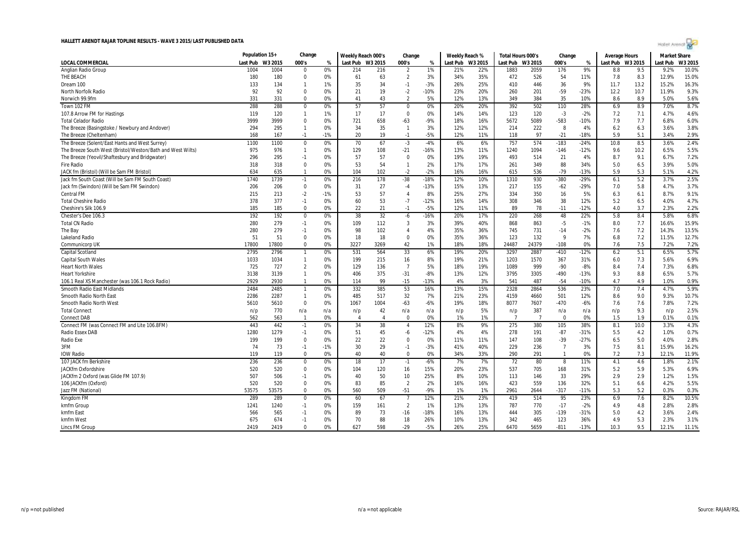

|                                                            | Population 15+ |         | Change         |       | Weekly Reach 000's |                | Change         |        | Weekly Reach % |         | Total Hours 000's |                | Change         |        | <b>Average Hours</b> |      | <b>Market Share</b> |         |
|------------------------------------------------------------|----------------|---------|----------------|-------|--------------------|----------------|----------------|--------|----------------|---------|-------------------|----------------|----------------|--------|----------------------|------|---------------------|---------|
| LOCAL COMMERCIAL                                           | Last Pub       | W3 2015 | 000's          | %     | Last Pub W3 2015   |                | 000's          | %      | Last Pub       | W3 2015 | Last Pub          | W3 2015        | 000's          | %      | Last Pub W3 2015     |      | Last Pub            | W3 2015 |
| Anglian Radio Group                                        | 1004           | 1004    | $\overline{0}$ | 0%    | 214                | 216            | $\overline{2}$ | 1%     | 21%            | 22%     | 1883              | 2059           | 176            | 9%     | 8.8                  | 9.5  | 9.2%                | 10.0%   |
| THE BEACH                                                  | 180            | 180     | $\overline{0}$ | 0%    | 61                 | 63             | $\overline{2}$ | 3%     | 34%            | 35%     | 472               | 526            | 54             | 11%    | 7.8                  | 8.3  | 12.9%               | 15.0%   |
| Dream 100                                                  | 133            | 134     | $\overline{1}$ | 1%    | 35                 | 34             | $-1$           | $-3%$  | 26%            | 25%     | 410               | 446            | 36             | 9%     | 11.7                 | 13.2 | 15.2%               | 16.3%   |
| <b>North Norfolk Radio</b>                                 | 92             | 92      | $\Omega$       | 0%    | 21                 | 19             | $-2$           | $-10%$ | 23%            | 20%     | 260               | 201            | $-59$          | $-23%$ | 12.2                 | 10.7 | 11.9%               | 9.3%    |
| Norwich 99.9fm                                             | 331            | 331     | $\mathbf 0$    | 0%    | 41                 | 43             | $\overline{2}$ | 5%     | 12%            | 13%     | 349               | 384            | 35             | 10%    | 8.6                  | 8.9  | 5.0%                | 5.6%    |
| Town 102 FM                                                | 288            | 288     | $\mathbf 0$    | 0%    | 57                 | 57             | $\Omega$       | 0%     | 20%            | 20%     | 392               | 502            | 110            | 28%    | 6.9                  | 8.9  | 7.0%                | 8.7%    |
| 107.8 Arrow FM for Hastings                                | 119            | 120     | -1             | 1%    | 17                 | 17             | $\mathbf 0$    | 0%     | 14%            | 14%     | 123               | 120            | $-3$           | $-2%$  | 7.2                  | 7.1  | 4.7%                | 4.6%    |
| <b>Total Celador Radio</b>                                 | 3999           | 3999    | $\Omega$       | 0%    | 721                | 658            | $-63$          | $-9%$  | 18%            | 16%     | 5672              | 5089           | $-583$         | $-10%$ | 7.9                  | 7.7  | 6.8%                | 6.0%    |
| The Breeze (Basingstoke / Newbury and Andover)             | 294            | 295     | $\overline{1}$ | 0%    | 34                 | 35             | $\overline{1}$ | 3%     | 12%            | 12%     | 214               | 222            | 8              | 4%     | 6.2                  | 6.3  | 3.6%                | 3.8%    |
| The Breeze (Cheltenham)                                    | 168            | 167     | $-1$           | $-1%$ | 20                 | 19             | $-1$           | $-5%$  | 12%            | 11%     | 118               | 97             | $-21$          | $-18%$ | 5.9                  | 5.1  | 3.4%                | 2.9%    |
| The Breeze (Solent/East Hants and West Surrey)             | 1100           | 1100    | $\mathbf 0$    | 0%    | 70                 | 67             | $-3$           | $-4%$  | 6%             | 6%      | 757               | 574            | $-183$         | $-24%$ | 10.8                 | 8.5  | 3.6%                | 2.4%    |
| The Breeze South West (Bristol/Weston/Bath and West Wilts) | 975            | 976     | $\overline{1}$ | 0%    | 129                | 108            | $-21$          | $-16%$ | 13%            | 11%     | 1240              | 1094           | $-146$         | $-12%$ | 9.6                  | 10.2 | 6.5%                | 5.5%    |
| The Breeze (Yeovil/Shaftesbury and Bridgwater)             | 296            | 295     | $-1$           | 0%    | 57                 | 57             | $\Omega$       | 0%     | 19%            | 19%     | 493               | 514            | 21             | 4%     | 8.7                  | 9.1  | 6.7%                | 7.2%    |
| <b>Fire Radio</b>                                          | 318            | 318     | $\overline{0}$ | 0%    | 53                 | 54             | $\overline{1}$ | 2%     | 17%            | 17%     | 261               | 349            | 88             | 34%    | 5.0                  | 6.5  | 3.9%                | 5.0%    |
| JACK fm (Bristol) (Will be Sam FM Bristol)                 | 634            | 635     | $\overline{1}$ | 0%    | 104                | 102            | $-2$           | $-2%$  | 16%            | 16%     | 615               | 536            | $-79$          | $-13%$ | 5.9                  | 5.3  | 5.1%                | 4.2%    |
| Jack fm South Coast (Will be Sam FM South Coast)           | 1740           | 1739    | $-1$           | 0%    | 216                | 178            | $-38$          | $-18%$ | 12%            | 10%     | 1310              | 930            | $-380$         | -29%   | 6.1                  | 5.2  | 3.7%                | 2.5%    |
| Jack fm (Swindon) (Will be Sam FM Swindon)                 | 206            | 206     | $\mathbf 0$    | 0%    | 31                 | 27             | $-4$           | $-13%$ | 15%            | 13%     | 217               | 155            | $-62$          | $-29%$ | 7.0                  | 5.8  | 4.7%                | 3.7%    |
| <b>Central FM</b>                                          | 215            | 213     | $-2$           | $-1%$ | 53                 | 57             | $\overline{4}$ | 8%     | 25%            | 27%     | 334               | 350            | 16             | 5%     | 6.3                  | 6.1  | 8.7%                | 9.1%    |
| <b>Total Cheshire Radio</b>                                | 378            | 377     | $-1$           | 0%    | 60                 | 53             | $-7$           | $-12%$ | 16%            | 14%     | 308               | 346            | 38             | 12%    | 5.2                  | 6.5  | 4.0%                | 4.7%    |
| Cheshire's Silk 106.9                                      | 185            | 185     | $\overline{0}$ | 0%    | 22                 | 21             | $-1$           | $-5%$  | 12%            | 11%     | 89                | 78             | $-11$          | $-12%$ | 4.0                  | 3.7  | 2.3%                | 2.2%    |
| Chester's Dee 106.3                                        | 192            | 192     | $\mathbf 0$    | 0%    | 38                 | 32             | $-6$           | $-16%$ | 20%            | 17%     | 220               | 268            | 48             | 22%    | 5.8                  | 8.4  | 5.8%                | 6.8%    |
| <b>Total CN Radio</b>                                      | 280            | 279     | $-1$           | 0%    | 109                | 112            | $\overline{3}$ | 3%     | 39%            | 40%     | 868               | 863            | $-5$           | $-1%$  | 8.0                  | 7.7  | 16.6%               | 15.9%   |
| The Bay                                                    | 280            | 279     | $-1$           | 0%    | 98                 | 102            | $\overline{4}$ | 4%     | 35%            | 36%     | 745               | 731            | $-14$          | $-2%$  | 7.6                  | 7.2  | 14.3%               | 13.5%   |
| <b>Lakeland Radio</b>                                      | 51             | 51      | $\mathbf 0$    | 0%    | 18                 | 18             | $\mathbf 0$    | 0%     | 35%            | 36%     | 123               | 132            | 9              | 7%     | 6.8                  | 7.2  | 11.5%               | 12.7%   |
| Communicorp UK                                             | 17800          | 17800   | $\Omega$       | 0%    | 3227               | 3269           | 42             | 1%     | 18%            | 18%     | 24487             | 24379          | $-108$         | 0%     | 7.6                  | 7.5  | 7.2%                | 7.2%    |
| <b>Capital Scotland</b>                                    | 2795           | 2796    | $\overline{1}$ | 0%    | 531                | 564            | 33             | 6%     | 19%            | 20%     | 3297              | 2887           | $-410$         | $-12%$ | 6.2                  | 5.1  | 6.5%                | 5.7%    |
| <b>Capital South Wales</b>                                 | 1033           | 1034    | $\overline{1}$ | 0%    | 199                | 215            | 16             | 8%     | 19%            | 21%     | 1203              | 1570           | 367            | 31%    | 6.0                  | 7.3  | 5.6%                | 6.9%    |
| <b>Heart North Wales</b>                                   | 725            | 727     | $\overline{2}$ | 0%    | 129                | 136            | $\overline{7}$ | 5%     | 18%            | 19%     | 1089              | 999            | $-90$          | $-8%$  | 8.4                  | 7.4  | 7.3%                | 6.8%    |
| <b>Heart Yorkshire</b>                                     | 3138           | 3139    | $\overline{1}$ | 0%    | 406                | 375            | $-31$          | $-8%$  | 13%            | 12%     | 3795              | 3305           | $-490$         | $-13%$ | 9.3                  | 8.8  | 6.5%                | 5.7%    |
| 106.1 Real XS Manchester (was 106.1 Rock Radio)            | 2929           | 2930    | $\overline{1}$ | 0%    | 114                | 99             | $-15$          | $-13%$ | 4%             | 3%      | 541               | 487            | $-54$          | $-10%$ | 4.7                  | 4.9  | 1.0%                | 0.9%    |
| <b>Smooth Radio East Midlands</b>                          | 2484           | 2485    | $\overline{1}$ | 0%    | 332                | 385            | 53             | 16%    | 13%            | 15%     | 2328              | 2864           | 536            | 23%    | 7.0                  | 7.4  | 4.7%                | 5.9%    |
| Smooth Radio North East                                    | 2286           | 2287    | $\overline{1}$ | 0%    | 485                | 517            | 32             | 7%     | 21%            | 23%     | 4159              | 4660           | 501            | 12%    | 8.6                  | 9.0  | 9.3%                | 10.7%   |
| Smooth Radio North West                                    | 5610           | 5610    | $\mathbf 0$    | 0%    | 1067               | 1004           | $-63$          | $-6%$  | 19%            | 18%     | 8077              | 7607           | $-470$         | $-6%$  | 7.6                  | 7.6  | 7.8%                | 7.2%    |
| <b>Total Connect</b>                                       | n/p            | 770     | n/a            | n/a   | n/p                | 42             | n/a            | n/a    | n/p            | 5%      | n/p               | 387            | n/a            | n/a    | n/p                  | 9.3  | n/p                 | 2.5%    |
| <b>Connect DAB</b>                                         | 562            | 563     | $\overline{1}$ | 0%    | $\overline{A}$     | $\overline{4}$ | $\Omega$       | 0%     | 1%             | 1%      | $\overline{7}$    | $\overline{7}$ | $\Omega$       | 0%     | 1.5                  | 1.9  | 0.1%                | 0.1%    |
| Connect FM (was Connect FM and Lite 106.8FM)               | 443            | 442     | $-1$           | 0%    | 34                 | 38             | $\overline{4}$ | 12%    | 8%             | 9%      | 275               | 380            | 105            | 38%    | 8.1                  | 10.0 | 3.3%                | 4.3%    |
| <b>Radio Essex DAB</b>                                     | 1280           | 1279    | $-1$           | 0%    | 51                 | 45             | $-6$           | $-12%$ | 4%             | 4%      | 278               | 191            | $-87$          | $-31%$ | 5.5                  | 4.2  | 1.0%                | 0.7%    |
| Radio Exe                                                  | 199            | 199     | 0              | 0%    | 22                 | 22             | $\Omega$       | 0%     | 11%            | 11%     | 147               | 108            | $-39$          | $-27%$ | 6.5                  | 5.0  | 4.0%                | 2.8%    |
| 3FM                                                        | 74             | 73      | $-1$           | $-1%$ | 30                 | 29             | $-1$           | $-3%$  | 41%            | 40%     | 229               | 236            | $\overline{7}$ | 3%     | 7.5                  | 8.1  | 15.9%               | 16.2%   |
| <b>IOW Radio</b>                                           | 119            | 119     | $\overline{0}$ | 0%    | 40                 | 40             | $\Omega$       | 0%     | 34%            | 33%     | 290               | 291            | $\mathbf{1}$   | 0%     | 7.2                  | 7.3  | 12.1%               | 11.9%   |
| 107 JACK fm Berkshire                                      | 236            | 236     | $\overline{0}$ | 0%    | 18                 | 17             | $-1$           | $-6%$  | 7%             | 7%      | 72                | 80             | 8              | 11%    | 4.1                  | 4.6  | 1.8%                | 2.1%    |
| JACKfm Oxfordshire                                         | 520            | 520     | $\mathbf 0$    | 0%    | 104                | 120            | 16             | 15%    | 20%            | 23%     | 537               | 705            | 168            | 31%    | 5.2                  | 5.9  | 5.3%                | 6.9%    |
| JACKfm 2 Oxford (was Glide FM 107.9)                       | 507            | 506     | $-1$           | 0%    | 40                 | 50             | 10             | 25%    | 8%             | 10%     | 113               | 146            | 33             | 29%    | 2.9                  | 2.9  | 1.2%                | 1.5%    |
| 106 JACKfm (Oxford)                                        | 520            | 520     | $\overline{0}$ | 0%    | 83                 | 85             | $\overline{2}$ | 2%     | 16%            | 16%     | 423               | 559            | 136            | 32%    | 5.1                  | 6.6  | 4.2%                | 5.5%    |
| Jazz FM (National)                                         | 53575          | 53575   | $\mathbf 0$    | 0%    | 560                | 509            | $-51$          | -9%    | 1%             | 1%      | 2961              | 2644           | $-317$         | $-11%$ | 5.3                  | 5.2  | 0.3%                | 0.3%    |
| Kingdom FM                                                 | 289            | 289     | $\mathbf 0$    | 0%    | 60                 | 67             | $\overline{7}$ | 12%    | 21%            | 23%     | 419               | 514            | 95             | 23%    | 6.9                  | 7.6  | 8.2%                | 10.5%   |
| kmfm Group                                                 | 1241           | 1240    | $-1$           | 0%    | 159                | 161            | $\overline{2}$ | 1%     | 13%            | 13%     | 787               | 770            | $-17$          | $-2%$  | 4.9                  | 4.8  | 2.8%                | 2.8%    |
| kmfm East                                                  | 566            | 565     | $-1$           | 0%    | 89                 | 73             | $-16$          | $-18%$ | 16%            | 13%     | 444               | 305            | $-139$         | $-31%$ | 5.0                  | 4.2  | 3.6%                | 2.4%    |
| kmfm West                                                  | 675            | 674     | $-1$           | 0%    | 70                 | 88             | 18             | 26%    | 10%            | 13%     | 342               | 465            | 123            | 36%    | 4.9                  | 5.3  | 2.3%                | 3.1%    |
| Lincs FM Group                                             | 2419           | 2419    | $\Omega$       | 0%    | 627                | 598            | $-29$          | $-5%$  | 26%            | 25%     | 6470              | 5659           | $-811$         | $-13%$ | 10.3                 | 9.5  | 12.1%               | 11.1%   |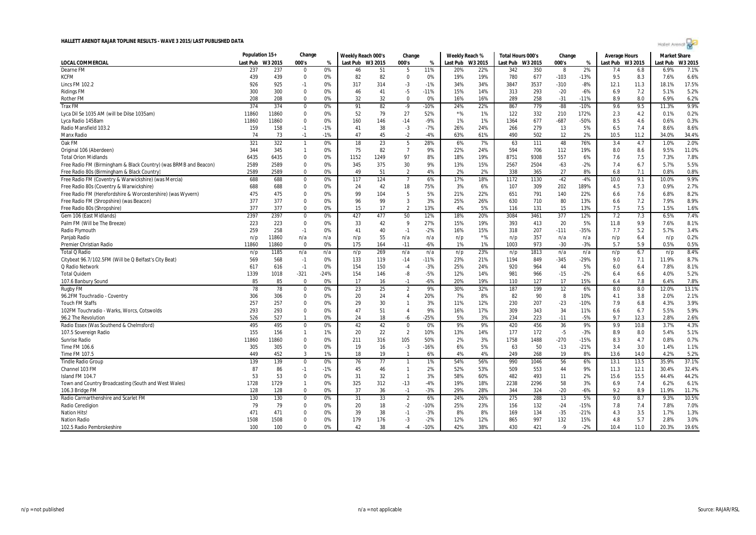

|                                                                  | Population 15+ |         | Change         |        | Weekly Reach 000's |      | Change         |        | Weekly Reach % |                  | Total Hours 000's |         | Change |        | Average Hours    |      | <b>Market Share</b> |         |
|------------------------------------------------------------------|----------------|---------|----------------|--------|--------------------|------|----------------|--------|----------------|------------------|-------------------|---------|--------|--------|------------------|------|---------------------|---------|
| <b>LOCAL COMMERCIAL</b>                                          | Last Pub       | W3 2015 | 000's          | %      | Last Pub W3 2015   |      | 000's          | %      |                | Last Pub W3 2015 | Last Pub          | W3 2015 | 000's  | %      | Last Pub W3 2015 |      | Last Pub            | W3 2015 |
| Dearne FM                                                        | 237            | 237     | $\Omega$       | 0%     | 46                 | 51   | 5              | 11%    | 20%            | 22%              | 342               | 350     | -8     | 2%     | 7.4              | 6.8  | 6.9%                | 7.1%    |
| <b>KCFM</b>                                                      | 439            | 439     | 0              | 0%     | 82                 | 82   | $\mathbf 0$    | 0%     | 19%            | 19%              | 780               | 677     | $-103$ | $-13%$ | 9.5              | 8.3  | 7.6%                | 6.6%    |
| <b>Lincs FM 102.2</b>                                            | 926            | 925     | $-1$           | 0%     | 317                | 314  | $-3$           | $-1%$  | 34%            | 34%              | 3847              | 3537    | $-310$ | $-8%$  | 12.1             | 11.3 | 18.1%               | 17.5%   |
| <b>Ridings FM</b>                                                | 300            | 300     | $\Omega$       | 0%     | 46                 | 41   | $-5$           | $-11%$ | 15%            | 14%              | 313               | 293     | $-20$  | $-6%$  | 6.9              | 7.2  | 5.1%                | 5.2%    |
| <b>Rother FM</b>                                                 | 208            | 208     | 0              | 0%     | 32                 | 32   | $\mathbf 0$    | 0%     | 16%            | 16%              | 289               | 258     | $-31$  | $-11%$ | 8.9              | 8.0  | 6.9%                | 6.2%    |
| <b>Trax FM</b>                                                   | 374            | 374     | $\mathbf 0$    | 0%     | 91                 | 82   | $-9$           | $-10%$ | 24%            | 22%              | 867               | 779     | $-88$  | $-10%$ | 9.6              | 9.5  | 11.3%               | 9.9%    |
| Lyca Dil Se 1035 AM (will be Dilse 1035am)                       | 11860          | 11860   | 0              | 0%     | 52                 | 79   | 27             | 52%    | $*$ %          | 1%               | 122               | 332     | 210    | 172%   | 2.3              | 4.2  | 0.1%                | 0.2%    |
| Lyca Radio 1458am                                                | 11860          | 11860   | $\mathbf{0}$   | 0%     | 160                | 146  | $-14$          | $-9%$  | 1%             | 1%               | 1364              | 677     | $-687$ | -50%   | 8.5              | 4.6  | 0.6%                | 0.3%    |
| Radio Mansfield 103.2                                            | 159            | 158     | $-1$           | $-1%$  | 41                 | 38   | $-3$           | $-7%$  | 26%            | 24%              | 266               | 279     | 13     | 5%     | 6.5              | 7.4  | 8.6%                | 8.6%    |
| Manx Radio                                                       | 74             | 73      | $-1$           | $-1%$  | 47                 | 45   | $-2$           | $-4%$  | 63%            | 61%              | 490               | 502     | 12     | 2%     | 10.5             | 11.2 | 34.0%               | 34.4%   |
| Oak FM                                                           | 321            | 322     | $\overline{1}$ | 0%     | 18                 | 23   | 5              | 28%    | 6%             | 7%               | 63                | 111     | 48     | 76%    | 3.4              | 4.7  | 1.0%                | 2.0%    |
| Original 106 (Aberdeen)                                          | 344            | 345     | $\overline{1}$ | 0%     | 75                 | 82   | $\overline{7}$ | 9%     | 22%            | 24%              | 594               | 706     | 112    | 19%    | 8.0              | 8.6  | 9.5%                | 11.0%   |
| <b>Total Orion Midlands</b>                                      | 6435           | 6435    | $\overline{0}$ | 0%     | 1152               | 1249 | 97             | 8%     | 18%            | 19%              | 8751              | 9308    | 557    | 6%     | 7.6              | 7.5  | 7.3%                | 7.8%    |
| Free Radio FM (Birmingham & Black Country) (was BRMB and Beacon) | 2589           | 2589    | $\mathbf{0}$   | 0%     | 345                | 375  | 30             | 9%     | 13%            | 15%              | 2567              | 2504    | $-63$  | $-2%$  | 7.4              | 6.7  | 5.7%                | 5.5%    |
| Free Radio 80s (Birmingham & Black Country)                      | 2589           | 2589    | $\mathbf{0}$   | 0%     | 49                 | 51   | $\overline{2}$ | 4%     | 2%             | 2%               | 338               | 365     | 27     | 8%     | 6.8              | 7.1  | 0.8%                | 0.8%    |
| Free Radio FM (Coventry & Warwickshire) (was Mercia)             | 688            | 688     | $\mathbf{0}$   | 0%     | 117                | 124  | $\overline{7}$ | 6%     | 17%            | 18%              | 1172              | 1130    | $-42$  | $-4%$  | 10.0             | 9.1  | 10.0%               | 9.9%    |
| Free Radio 80s (Coventry & Warwickshire)                         | 688            | 688     | $\Omega$       | 0%     | 24                 | 42   | 18             | 75%    | 3%             | 6%               | 107               | 309     | 202    | 189%   | 4.5              | 7.3  | 0.9%                | 2.7%    |
| Free Radio FM (Herefordshire & Worcestershire) (was Wyvern)      | 475            | 475     | $\overline{0}$ | 0%     | 99                 | 104  | 5              | 5%     | 21%            | 22%              | 651               | 791     | 140    | 22%    | 6.6              | 7.6  | 6.8%                | 8.2%    |
| Free Radio FM (Shropshire) (was Beacon)                          | 377            | 377     | $\mathbf 0$    | 0%     | 96                 | 99   | $\overline{3}$ | 3%     | 25%            | 26%              | 630               | 710     | 80     | 13%    | 6.6              | 7.2  | 7.9%                | 8.9%    |
| Free Radio 80s (Shropshire)                                      | 377            | 377     | $\Omega$       | 0%     | 15                 | 17   | $\overline{2}$ | 13%    | 4%             | 5%               | 116               | 131     | 15     | 13%    | 7.5              | 7.5  | 1.5%                | 1.6%    |
| Gem 106 (East Midlands)                                          | 2397           | 2397    | $\mathbf 0$    | 0%     | 427                | 477  | 50             | 12%    | 18%            | 20%              | 3084              | 3461    | 377    | 12%    | 7.2              | 7.3  | 6.5%                | 7.4%    |
| Palm FM (Will be The Breeze)                                     | 223            | 223     | $\mathbf 0$    | 0%     | 33                 | 42   | 9              | 27%    | 15%            | 19%              | 393               | 413     | 20     | 5%     | 11.8             | 9.9  | 7.6%                | 8.1%    |
| Radio Plymouth                                                   | 259            | 258     | $-1$           | 0%     | 41                 | 40   | $-1$           | $-2%$  | 16%            | 15%              | 318               | 207     | $-111$ | $-35%$ | 7.7              | 5.2  | 5.7%                | 3.4%    |
| Panjab Radio                                                     | n/p            | 11860   | n/a            | n/a    | n/p                | 55   | n/a            | n/a    | n/p            | $*$ %            | n/p               | 357     | n/a    | n/a    | n/p              | 6.4  | n/p                 | 0.2%    |
| Premier Christian Radio                                          | 11860          | 11860   | 0              | 0%     | 175                | 164  | $-11$          | $-6%$  | 1%             | 1%               | 1003              | 973     | $-30$  | $-3%$  | 5.7              | 5.9  | 0.5%                | 0.5%    |
| <b>Total Q Radio</b>                                             | n/p            | 1185    | n/a            | n/a    | n/p                | 269  | n/a            | n/a    | n/p            | 23%              | n/p               | 1813    | n/a    | n/a    | n/p              | 6.7  | n/p                 | 8.4%    |
| Citybeat 96.7/102.5FM (Will be Q Belfast's City Beat)            | 569            | 568     | $-1$           | 0%     | 133                | 119  | $-14$          | $-11%$ | 23%            | 21%              | 1194              | 849     | $-345$ | $-29%$ | 9.0              | 7.1  | 11.9%               | 8.7%    |
| Q Radio Network                                                  | 617            | 616     | $-1$           | 0%     | 154                | 150  | $-4$           | $-3%$  | 25%            | 24%              | 920               | 964     | 44     | 5%     | 6.0              | 6.4  | 7.8%                | 8.1%    |
| <b>Total Quidem</b>                                              | 1339           | 1018    | $-321$         | $-24%$ | 154                | 146  | $-8$           | $-5%$  | 12%            | 14%              | 981               | 966     | $-15$  | $-2%$  | 6.4              | 6.6  | 4.0%                | 5.2%    |
| 107.6 Banbury Sound                                              | 85             | 85      | 0              | 0%     | 17                 | 16   | $-1$           | -6%    | 20%            | 19%              | 110               | 127     | 17     | 15%    | 6.4              | 7.8  | 6.4%                | 7.8%    |
| Rugby FM                                                         | 78             | 78      | $\mathbf 0$    | 0%     | 23                 | 25   | $\overline{2}$ | 9%     | 30%            | 32%              | 187               | 199     | 12     | 6%     | 8.0              | 8.0  | 12.0%               | 13.1%   |
| 96.2FM Touchradio - Coventry                                     | 306            | 306     | 0              | 0%     | 20                 | 24   | $\overline{4}$ | 20%    | 7%             | 8%               | 82                | 90      | 8      | 10%    | 4.1              | 3.8  | 2.0%                | 2.1%    |
| <b>Touch FM Staffs</b>                                           | 257            | 257     | $\Omega$       | 0%     | 29                 | 30   | $\overline{1}$ | 3%     | 11%            | 12%              | 230               | 207     | $-23$  | $-10%$ | 7.9              | 6.8  | 4.3%                | 3.9%    |
| 102FM Touchradio - Warks, Worcs, Cotswolds                       | 293            | 293     | $\overline{0}$ | 0%     | 47                 | 51   | $\overline{4}$ | 9%     | 16%            | 17%              | 309               | 343     | 34     | 11%    | 6.6              | 6.7  | 5.5%                | 5.9%    |
| 96.2 The Revolution                                              | 526            | 527     | $\overline{1}$ | 0%     | 24                 | 18   | -6             | $-25%$ | 5%             | 3%               | 234               | 223     | $-11$  | $-5%$  | 9.7              | 12.3 | 2.8%                | 2.6%    |
| Radio Essex (Was Southend & Chelmsford)                          | 495            | 495     | $\mathbf 0$    | 0%     | 42                 | 42   | $\mathbf 0$    | 0%     | 9%             | 9%               | 420               | 456     | 36     | 9%     | 9.9              | 10.8 | 3.7%                | 4.3%    |
| 107.5 Sovereign Radio                                            | 155            | 156     | $\overline{1}$ | 1%     | 20                 | 22   | $\overline{2}$ | 10%    | 13%            | 14%              | 177               | 172     | $-5$   | $-3%$  | 8.9              | 8.0  | 5.4%                | 5.1%    |
| <b>Sunrise Radio</b>                                             | 11860          | 11860   | $\overline{0}$ | 0%     | 211                | 316  | 105            | 50%    | 2%             | 3%               | 1758              | 1488    | $-270$ | $-15%$ | 8.3              | 4.7  | 0.8%                | 0.7%    |
| Time FM 106.6                                                    | 305            | 305     | $\mathbf{0}$   | 0%     | 19                 | 16   | $-3$           | $-16%$ | 6%             | 5%               | 63                | 50      | $-13$  | $-21%$ | 3.4              | 3.0  | 1.4%                | 1.1%    |
| Time FM 107.5                                                    | 449            | 452     | 3              | 1%     | 18                 | 19   | $\overline{1}$ | 6%     | 4%             | 4%               | 249               | 268     | 19     | 8%     | 13.6             | 14.0 | 4.2%                | 5.2%    |
| <b>Tindle Radio Group</b>                                        | 139            | 139     | $\mathbf{0}$   | 0%     | 76                 | 77   | $\overline{1}$ | 1%     | 54%            | 56%              | 990               | 1046    | 56     | 6%     | 13.1             | 13.5 | 35.9%               | 37.1%   |
| Channel 103 FM                                                   | 87             | 86      | $-1$           | $-1%$  | 45                 | 46   | $\overline{1}$ | 2%     | 52%            | 53%              | 509               | 553     | 44     | 9%     | 11.3             | 12.1 | 30.4%               | 32.4%   |
| Island FM 104.7                                                  | 53             | 53      | $\mathbf{0}$   | 0%     | 31                 | 32   | $\overline{1}$ | 3%     | 58%            | 60%              | 482               | 493     | 11     | 2%     | 15.6             | 15.5 | 44.4%               | 44.2%   |
| Town and Country Broadcasting (South and West Wales)             | 1728           | 1729    | $\overline{1}$ | 0%     | 325                | 312  | $-13$          | $-4%$  | 19%            | 18%              | 2238              | 2296    | 58     | 3%     | 6.9              | 7.4  | 6.2%                | 6.1%    |
| 106.3 Bridge FM                                                  | 128            | 128     | $\Omega$       | 0%     | 37                 | 36   | $-1$           | $-3%$  | 29%            | 28%              | 344               | 324     | $-20$  | $-6%$  | 9.2              | 8.9  | 11.9%               | 11.7%   |
| Radio Carmarthenshire and Scarlet FM                             | 130            | 130     | $\mathbf{0}$   | 0%     | 31                 | 33   | $\overline{2}$ | 6%     | 24%            | 26%              | 275               | 288     | 13     | 5%     | 9.0              | 8.7  | 9.3%                | 10.5%   |
| Radio Ceredigion                                                 | 79             | 79      | $\mathbf 0$    | 0%     | 20                 | 18   | $-2$           | $-10%$ | 25%            | 23%              | 156               | 132     | $-24$  | $-15%$ | 7.8              | 7.4  | 7.8%                | 7.0%    |
| <b>Nation Hits!</b>                                              | 471            | 471     | $\Omega$       | 0%     | 39                 | 38   | $-1$           | $-3%$  | 8%             | 8%               | 169               | 134     | $-35$  | $-21%$ | 4.3              | 3.5  | 1.7%                | 1.3%    |
| <b>Nation Radio</b>                                              | 1508           | 1508    | $\Omega$       | 0%     | 179                | 176  | $-3$           | $-2%$  | 12%            | 12%              | 865               | 997     | 132    | 15%    | 4.8              | 5.7  | 2.8%                | 3.0%    |
| 102.5 Radio Pembrokeshire                                        | 100            | 100     | $\Omega$       | 0%     | 42                 | 38   | $-4$           | $-10%$ | 42%            | 38%              | 430               | 421     | $-9$   | $-2%$  | 10.4             | 11.0 | 20.3%               | 19.6%   |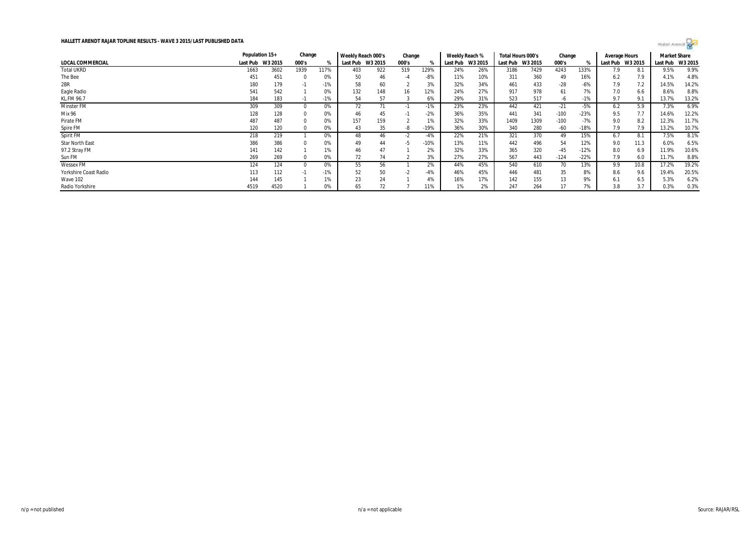

|                        | Population 15+   |      | Change   |       | Weekly Reach 000's |     | Change |        | Weekly Reach % |         | Total Hours 000's |         | Change |        | Average Hours |         | <b>Market Share</b> |         |
|------------------------|------------------|------|----------|-------|--------------------|-----|--------|--------|----------------|---------|-------------------|---------|--------|--------|---------------|---------|---------------------|---------|
| LOCAL COMMERCIAL       | Last Pub W3 2015 |      | 000's    | %     | Last Pub W3 2015   |     | 000's  |        | Last Pub       | W3 2015 | Last Pub          | W3 2015 | 000's  |        | Last Pub      | W3 2015 | Last Pub            | W3 2015 |
| <b>Total UKRD</b>      | 1663             | 3602 | 1939     | 117%  | 403                | 922 | 519    | 129%   | 24%            | 26%     | 3186              | 7429    | 4243   | 133%   | 7.9           | 8.1     | 9.5%                | 9.9%    |
| The Bee                | 451              | 451  | $\Omega$ | 0%    | 50                 | 46  | -4     | $-8%$  | 11%            | 10%     | 311               | 360     | 49     | 16%    | 6.2           | 7.9     | 4.1%                | 4.8%    |
| 2BR                    | 180              | 179  | -1       | $-1%$ | 58                 | 60  |        | 3%     | 32%            | 34%     | 461               | 433     | $-28$  | -6%    | 7.9           | 7.2     | 14.5%               | 14.2%   |
| Eagle Radio            | 541              | 542  |          | 0%    | 132                | 148 | 16     | 12%    | 24%            | 27%     | 917               | 978     | 61     | 7%     | 7.0           | 6.6     | 8.6%                | 8.8%    |
| <b>KL.FM 96.7</b>      | 184              | 183  | - 11     | $-1%$ | 54                 | 57  |        | 6%     | 29%            | 31%     | 523               | 517     | -6     | -1%    | 9.7           | 9.1     | 13.7%               | 13.2%   |
| <b>Minster FM</b>      | 309              | 309  |          | 0%    | 72                 |     | - 1    | $-1%$  | 23%            | 23%     | 442               | 421     | $-21$  | $-5%$  | 6.2           | 5.9     | 7.3%                | 6.9%    |
| Mix 96                 | 128              | 128  |          | 0%    | 46                 | 45  | -1.    | $-2%$  | 36%            | 35%     | 441               | 341     | $-100$ | $-23%$ | 9.5           | 7.7     | 14.6%               | 12.2%   |
| Pirate FM              | 487              | 487  |          | 0%    | 157                | 159 |        | 1%     | 32%            | 33%     | 1409              | 1309    | $-100$ | $-7%$  | 9.0           | 8.2     | 12.3%               | 11.7%   |
| Spire FM               | 120              | 120  |          | 0%    | 43                 | 35  | -8     | $-19%$ | 36%            | 30%     | 340               | 280     | $-60$  | $-18%$ | 7.9           | 7.9     | 13.2%               | 10.7%   |
| Spirit FM              | 218              | 219  |          | 0%    | 48                 | 46  | -2     | $-4%$  | 22%            | 21%     | 321               | 370     | 49     | 15%    | 6.7           | 8.7     | 7.5%                | 8.1%    |
| <b>Star North East</b> | 386              | 386  |          | 0%    | 49                 | 44  | -5     | $-10%$ | 13%            | 11%     | 442               | 496     | 54     | 12%    | 9.0           | 11.3    | 6.0%                | 6.5%    |
| 97.2 Stray FM          | 141              | 142  |          | 1%    | 46                 | 47  |        | 2%     | 32%            | 33%     | 365               | 320     | $-45$  | $-12%$ | 8.0           | 6.9     | 11.9%               | 10.6%   |
| Sun FM                 | 269              | 269  |          | 0%    | 72                 | 74  |        | 3%     | 27%            | 27%     | 567               | 443     | $-124$ | $-22%$ | 7.9           | 6.0     | 11.7%               | 8.8%    |
| <b>Wessex FM</b>       | 124              | 124  |          | 0%    | 55                 | 56  |        | 2%     | 44%            | 45%     | 540               | 610     | 70     | 13%    | 9.9           | 10.8    | 17.2%               | 19.2%   |
| Yorkshire Coast Radio  | 113              | 112  | - 11     | $-1%$ | 52                 | 50  | -2     | $-4%$  | 46%            | 45%     | 446               | 481     | 35     | 8%     | 8.6           | 9.6     | 19.4%               | 20.5%   |
| Wave 102               | 144              | 145  |          | 1%    | 23                 | 24  |        | 4%     | 16%            | 17%     | 142               | 155     | 13     | 9%     | 6.1           | 6.5     | 5.3%                | 6.2%    |
| Radio Yorkshire        | 4519             | 4520 |          | 0%    | 65                 | 72  |        | 11%    | 1%             | 2%      | 247               | 264     | 17     | 7%     | 3.8           | 3.7     | 0.3%                | 0.3%    |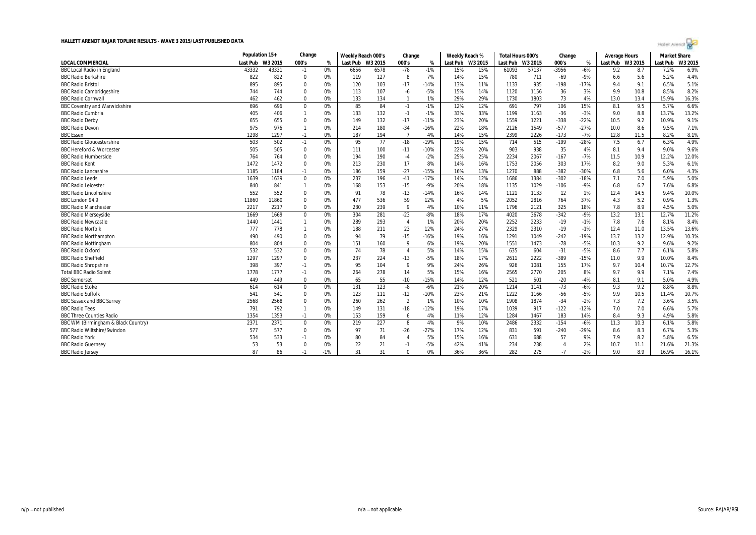| ٠ | $\sim$<br>×<br>$\sim$ | nat<br>٠ |  |  |
|---|-----------------------|----------|--|--|
|   |                       |          |  |  |

|                                      | Population 15+ |         | Change         |       | Weekly Reach 000's |      | Change         |        | Weekly Reach %   |     | Total Hours 000's |         | Change |        | <b>Average Hours</b> |      | <b>Market Share</b> |         |
|--------------------------------------|----------------|---------|----------------|-------|--------------------|------|----------------|--------|------------------|-----|-------------------|---------|--------|--------|----------------------|------|---------------------|---------|
| <b>LOCAL COMMERCIAL</b>              | Last Pub       | W3 2015 | 000's          | %     | Last Pub W3 2015   |      | 000's          | %      | Last Pub W3 2015 |     | Last Pub          | W3 2015 | 000's  | %      | Last Pub W3 2015     |      | Last Pub            | W3 2015 |
| <b>BBC Local Radio in England</b>    | 43332          | 43331   | $-1$           | 0%    | 6656               | 6578 | $-78$          | $-1%$  | 15%              | 15% | 61093             | 57137   | -3956  | $-6%$  | 9.2                  | 8.7  | 7.2%                | 6.9%    |
| <b>BBC Radio Berkshire</b>           | 822            | 822     | $\Omega$       | 0%    | 119                | 127  | 8              | 7%     | 14%              | 15% | 780               | 711     | $-69$  | $-9%$  | 6.6                  | 5.6  | 5.2%                | 4.4%    |
| <b>BBC Radio Bristol</b>             | 895            | 895     | $\Omega$       | 0%    | 120                | 103  | $-17$          | $-14%$ | 13%              | 11% | 1133              | 935     | $-198$ | $-17%$ | 9.4                  | 9.1  | 6.5%                | 5.1%    |
| <b>BBC Radio Cambridgeshire</b>      | 744            | 744     | $\overline{0}$ | 0%    | 113                | 107  | $-6$           | $-5%$  | 15%              | 14% | 1120              | 1156    | 36     | 3%     | 9.9                  | 10.8 | 8.5%                | 8.2%    |
| <b>BBC Radio Cornwall</b>            | 462            | 462     | $\Omega$       | 0%    | 133                | 134  | $\mathbf{1}$   | $1\%$  | 29%              | 29% | 1730              | 1803    | 73     | 4%     | 13.0                 | 13.4 | 15.9%               | 16.3%   |
| <b>BBC Coventry and Warwickshire</b> | 696            | 696     | $\mathbf 0$    | 0%    | 85                 | 84   | $-1$           | $-1%$  | 12%              | 12% | 691               | 797     | 106    | 15%    | 8.1                  | 9.5  | 5.7%                | 6.6%    |
| <b>BBC Radio Cumbria</b>             | 405            | 406     |                | 0%    | 133                | 132  | $-1$           | $-1%$  | 33%              | 33% | 1199              | 1163    | $-36$  | $-3%$  | 9.0                  | 8.8  | 13.7%               | 13.2%   |
| <b>BBC Radio Derby</b>               | 655            | 655     | $\Omega$       | 0%    | 149                | 132  | $-17$          | $-11%$ | 23%              | 20% | 1559              | 1221    | $-338$ | $-22%$ | 10.5                 | 9.2  | 10.9%               | 9.1%    |
| <b>BBC Radio Devon</b>               | 975            | 976     | $\overline{1}$ | 0%    | 214                | 180  | $-34$          | $-16%$ | 22%              | 18% | 2126              | 1549    | $-577$ | $-27%$ | 10.0                 | 8.6  | 9.5%                | 7.1%    |
| <b>BBC</b> Essex                     | 1298           | 1297    | $-1$           | 0%    | 187                | 194  | $\overline{7}$ | 4%     | 14%              | 15% | 2399              | 2226    | $-173$ | $-7%$  | 12.8                 | 11.5 | 8.2%                | 8.1%    |
| <b>BBC Radio Gloucestershire</b>     | 503            | 502     | $-1$           | 0%    | 95                 | 77   | $-18$          | $-19%$ | 19%              | 15% | 714               | 515     | $-199$ | $-28%$ | 7.5                  | 6.7  | 6.3%                | 4.9%    |
| <b>BBC Hereford &amp; Worcester</b>  | 505            | 505     | $\Omega$       | 0%    | 111                | 100  | $-11$          | $-10%$ | 22%              | 20% | 903               | 938     | 35     | 4%     | 8.1                  | 9.4  | 9.0%                | 9.6%    |
| <b>BBC Radio Humberside</b>          | 764            | 764     | $\mathbf{0}$   | 0%    | 194                | 190  | $-4$           | $-2%$  | 25%              | 25% | 2234              | 2067    | $-167$ | $-7%$  | 11.5                 | 10.9 | 12.2%               | 12.0%   |
| <b>BBC Radio Kent</b>                | 1472           | 1472    | $\Omega$       | 0%    | 213                | 230  | 17             | 8%     | 14%              | 16% | 1753              | 2056    | 303    | 17%    | 8.2                  | 9.0  | 5.3%                | 6.1%    |
| <b>BBC Radio Lancashire</b>          | 1185           | 1184    | $-1$           | 0%    | 186                | 159  | $-27$          | $-15%$ | 16%              | 13% | 1270              | 888     | $-382$ | $-30%$ | 6.8                  | 5.6  | 6.0%                | 4.3%    |
| <b>BBC Radio Leeds</b>               | 1639           | 1639    | $\mathbf{0}$   | 0%    | 237                | 196  | $-41$          | $-17%$ | 14%              | 12% | 1686              | 1384    | $-302$ | $-18%$ | 7.1                  | 7.0  | 5.9%                | 5.0%    |
| <b>BBC Radio Leicester</b>           | 840            | 841     | $\overline{1}$ | 0%    | 168                | 153  | $-15$          | -9%    | 20%              | 18% | 1135              | 1029    | $-106$ | $-9%$  | 6.8                  | 6.7  | 7.6%                | 6.8%    |
| <b>BBC Radio Lincolnshire</b>        | 552            | 552     | $\Omega$       | 0%    | 91                 | 78   | $-13$          | $-14%$ | 16%              | 14% | 1121              | 1133    | 12     | 1%     | 12.4                 | 14.5 | 9.4%                | 10.0%   |
| BBC London 94.9                      | 11860          | 11860   | $\Omega$       | 0%    | 477                | 536  | 59             | 12%    | 4%               | 5%  | 2052              | 2816    | 764    | 37%    | 4.3                  | 5.2  | 0.9%                | 1.3%    |
| <b>BBC Radio Manchester</b>          | 2217           | 2217    | $\Omega$       | 0%    | 230                | 239  | 9              | 4%     | 10%              | 11% | 1796              | 2121    | 325    | 18%    | 7.8                  | 8.9  | 4.5%                | 5.0%    |
| <b>BBC Radio Merseyside</b>          | 1669           | 1669    | $\mathbf 0$    | 0%    | 304                | 281  | $-23$          | $-8%$  | 18%              | 17% | 4020              | 3678    | $-342$ | $-9%$  | 13.2                 | 13.1 | 12.7%               | 11.2%   |
| <b>BBC Radio Newcastle</b>           | 1440           | 1441    | $\overline{1}$ | 0%    | 289                | 293  | $\overline{4}$ | 1%     | 20%              | 20% | 2252              | 2233    | $-19$  | $-1%$  | 7.8                  | 7.6  | 8.1%                | 8.4%    |
| <b>BBC Radio Norfolk</b>             | 777            | 778     | $\overline{1}$ | 0%    | 188                | 211  | 23             | 12%    | 24%              | 27% | 2329              | 2310    | $-19$  | $-1%$  | 12.4                 | 11.0 | 13.5%               | 13.6%   |
| <b>BBC Radio Northampton</b>         | 490            | 490     | $\Omega$       | 0%    | 94                 | 79   | $-15$          | $-16%$ | 19%              | 16% | 1291              | 1049    | $-242$ | $-19%$ | 13.7                 | 13.2 | 12.9%               | 10.3%   |
| <b>BBC Radio Nottingham</b>          | 804            | 804     | $\Omega$       | 0%    | 151                | 160  | 9              | 6%     | 19%              | 20% | 1551              | 1473    | $-78$  | $-5%$  | 10.3                 | 9.2  | 9.6%                | 9.2%    |
| <b>BBC Radio Oxford</b>              | 532            | 532     | $\mathbf{0}$   | 0%    | 74                 | 78   | $\overline{4}$ | 5%     | 14%              | 15% | 635               | 604     | $-31$  | $-5%$  | 8.6                  | 7.7  | 6.1%                | 5.8%    |
| <b>BBC Radio Sheffield</b>           | 1297           | 1297    | $\mathbf{0}$   | 0%    | 237                | 224  | $-13$          | $-5%$  | 18%              | 17% | 2611              | 2222    | $-389$ | $-15%$ | 11.0                 | 9.9  | 10.0%               | 8.4%    |
| <b>BBC Radio Shropshire</b>          | 398            | 397     | $-1$           | 0%    | 95                 | 104  | 9              | 9%     | 24%              | 26% | 926               | 1081    | 155    | 17%    | 9.7                  | 10.4 | 10.7%               | 12.7%   |
| <b>Total BBC Radio Solent</b>        | 1778           | 1777    | $-1$           | 0%    | 264                | 278  | 14             | 5%     | 15%              | 16% | 2565              | 2770    | 205    | 8%     | 9.7                  | 9.9  | 7.1%                | 7.4%    |
| <b>BBC</b> Somerset                  | 449            | 449     | $\Omega$       | 0%    | 65                 | 55   | $-10$          | $-15%$ | 14%              | 12% | 521               | 501     | $-20$  | $-4%$  | 8.1                  | 9.1  | 5.0%                | 4.9%    |
| <b>BBC Radio Stoke</b>               | 614            | 614     | $\Omega$       | 0%    | 131                | 123  | -8             | $-6%$  | 21%              | 20% | 1214              | 1141    | $-73$  | $-6%$  | 9.3                  | 9.2  | 8.8%                | 8.8%    |
| <b>BBC Radio Suffolk</b>             | 541            | 541     | $\Omega$       | 0%    | 123                | 111  | $-12$          | $-10%$ | 23%              | 21% | 1222              | 1166    | $-56$  | $-5%$  | 9.9                  | 10.5 | 11.4%               | 10.7%   |
| <b>BBC Sussex and BBC Surrey</b>     | 2568           | 2568    | $\Omega$       | 0%    | 260                | 262  | $\overline{2}$ | 1%     | 10%              | 10% | 1908              | 1874    | $-34$  | $-2%$  | 7.3                  | 7.2  | 3.6%                | 3.5%    |
| <b>BBC Radio Tees</b>                | 791            | 792     | $\overline{1}$ | 0%    | 149                | 131  | $-18$          | $-12%$ | 19%              | 17% | 1039              | 917     | $-122$ | $-12%$ | 7.0                  | 7.0  | 6.6%                | 5.7%    |
| <b>BBC Three Counties Radio</b>      | 1354           | 1353    | $-1$           | 0%    | 153                | 159  | 6              | 4%     | 11%              | 12% | 1284              | 1467    | 183    | 14%    | 8.4                  | 9.3  | 4.9%                | 5.8%    |
| BBC WM (Birmingham & Black Country)  | 2371           | 2371    | 0              | 0%    | 219                | 227  | 8              | 4%     | 9%               | 10% | 2486              | 2332    | $-154$ | $-6%$  | 11.3                 | 10.3 | 6.1%                | 5.8%    |
| <b>BBC Radio Wiltshire/Swindon</b>   | 577            | 577     | $\mathbf{0}$   | 0%    | 97                 | 71   | $-26$          | $-27%$ | 17%              | 12% | 831               | 591     | $-240$ | $-29%$ | 8.6                  | 8.3  | 6.7%                | 5.3%    |
| <b>BBC Radio York</b>                | 534            | 533     | $-1$           | 0%    | 80                 | 84   | $\overline{A}$ | 5%     | 15%              | 16% | 631               | 688     | 57     | 9%     | 7.9                  | 8.2  | 5.8%                | 6.5%    |
| <b>BBC Radio Guernsey</b>            | 53             | 53      | $\Omega$       | 0%    | 22                 | 21   | $-1$           | $-5%$  | 42%              | 41% | 234               | 238     |        | 2%     | 10.7                 | 11.1 | 21.6%               | 21.3%   |
| <b>BBC Radio Jersey</b>              | 87             | 86      | $-1$           | $-1%$ | 31                 | 31   | $\Omega$       | 0%     | 36%              | 36% | 282               | 275     | $-7$   | $-2%$  | 9.0                  | 8.9  | 16.9%               | 16.1%   |